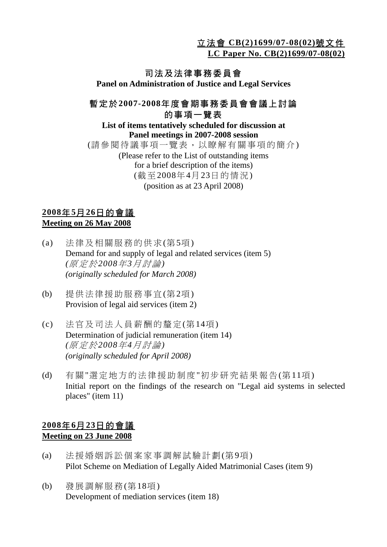立法會 **CB(2)1699/07-08(02)**號文件

**LC Paper No. CB(2)1699/07-08(02)**

# 司法及法律事務委員會

**Panel on Administration of Justice and Legal Services** 

# 暫定於**2007-2008**年度會期事務委員會會議上討論 的事項一覽表

#### **List of items tentatively scheduled for discussion at Panel meetings in 2007-2008 session**  (請參閱待議事項一覽表,以瞭解有關事項的簡介) (Please refer to the List of outstanding items for a brief description of the items) (截至2008年4月23日的情況)

(position as at 23 April 2008)

### **2008**年**5**月**26**日的會議 **Meeting on 26 May 2008**

- (a) 法律及相關服務的供求(第5項) Demand for and supply of legal and related services (item 5)  *(*原定於*2008*年*3*月討論*) (originally scheduled for March 2008)*
- (b) 提供法律援助服務事宜(第2項) Provision of legal aid services (item 2)
- (c) 法官及司法人員薪酬的釐定(第14項) Determination of judicial remuneration (item 14) *(*原定於*2008*年*4*月討論*) (originally scheduled for April 2008)*
- (d) 有關"選定地方的法律援助制度"初步研究結果報告(第11項) Initial report on the findings of the research on "Legal aid systems in selected places" (item 11)

# **2008**年**6**月**23**日的會議 **Meeting on 23 June 2008**

- (a) 法援婚姻訴訟個案家事調解試驗計劃(第9項) Pilot Scheme on Mediation of Legally Aided Matrimonial Cases (item 9)
- (b) 發展調解服務(第18項) Development of mediation services (item 18)